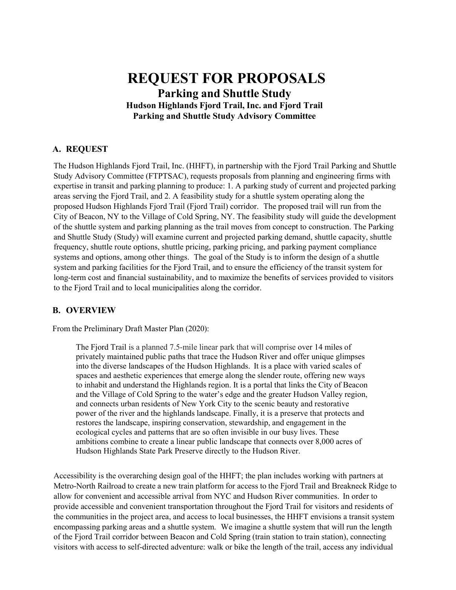# **REQUEST FOR PROPOSALS Parking and Shuttle Study Hudson Highlands Fjord Trail, Inc. and Fjord Trail Parking and Shuttle Study Advisory Committee**

### **A. REQUEST**

The Hudson Highlands Fjord Trail, Inc. (HHFT), in partnership with the Fjord Trail Parking and Shuttle Study Advisory Committee (FTPTSAC), requests proposals from planning and engineering firms with expertise in transit and parking planning to produce: 1. A parking study of current and projected parking areas serving the Fjord Trail, and 2. A feasibility study for a shuttle system operating along the proposed Hudson Highlands Fjord Trail (Fjord Trail) corridor. The proposed trail will run from the City of Beacon, NY to the Village of Cold Spring, NY. The feasibility study will guide the development of the shuttle system and parking planning as the trail moves from concept to construction. The Parking and Shuttle Study (Study) will examine current and projected parking demand, shuttle capacity, shuttle frequency, shuttle route options, shuttle pricing, parking pricing, and parking payment compliance systems and options, among other things. The goal of the Study is to inform the design of a shuttle system and parking facilities for the Fjord Trail, and to ensure the efficiency of the transit system for long-term cost and financial sustainability, and to maximize the benefits of services provided to visitors to the Fjord Trail and to local municipalities along the corridor.

### **B. OVERVIEW**

From the Preliminary Draft Master Plan (2020):

The Fjord Trail is a planned 7.5-mile linear park that will comprise over 14 miles of privately maintained public paths that trace the Hudson River and offer unique glimpses into the diverse landscapes of the Hudson Highlands. It is a place with varied scales of spaces and aesthetic experiences that emerge along the slender route, offering new ways to inhabit and understand the Highlands region. It is a portal that links the City of Beacon and the Village of Cold Spring to the water's edge and the greater Hudson Valley region, and connects urban residents of New York City to the scenic beauty and restorative power of the river and the highlands landscape. Finally, it is a preserve that protects and restores the landscape, inspiring conservation, stewardship, and engagement in the ecological cycles and patterns that are so often invisible in our busy lives. These ambitions combine to create a linear public landscape that connects over 8,000 acres of Hudson Highlands State Park Preserve directly to the Hudson River.

Accessibility is the overarching design goal of the HHFT; the plan includes working with partners at Metro-North Railroad to create a new train platform for access to the Fjord Trail and Breakneck Ridge to allow for convenient and accessible arrival from NYC and Hudson River communities. In order to provide accessible and convenient transportation throughout the Fjord Trail for visitors and residents of the communities in the project area, and access to local businesses, the HHFT envisions a transit system encompassing parking areas and a shuttle system. We imagine a shuttle system that will run the length of the Fjord Trail corridor between Beacon and Cold Spring (train station to train station), connecting visitors with access to self-directed adventure: walk or bike the length of the trail, access any individual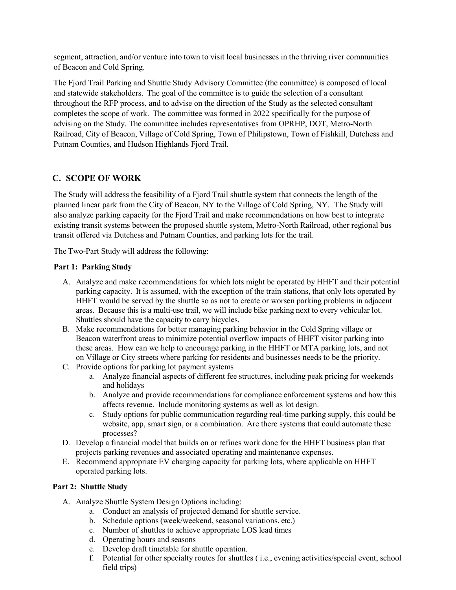segment, attraction, and/or venture into town to visit local businesses in the thriving river communities of Beacon and Cold Spring.

The Fjord Trail Parking and Shuttle Study Advisory Committee (the committee) is composed of local and statewide stakeholders. The goal of the committee is to guide the selection of a consultant throughout the RFP process, and to advise on the direction of the Study as the selected consultant completes the scope of work. The committee was formed in 2022 specifically for the purpose of advising on the Study. The committee includes representatives from OPRHP, DOT, Metro-North Railroad, City of Beacon, Village of Cold Spring, Town of Philipstown, Town of Fishkill, Dutchess and Putnam Counties, and Hudson Highlands Fjord Trail.

### **C. SCOPE OF WORK**

The Study will address the feasibility of a Fjord Trail shuttle system that connects the length of the planned linear park from the City of Beacon, NY to the Village of Cold Spring, NY. The Study will also analyze parking capacity for the Fjord Trail and make recommendations on how best to integrate existing transit systems between the proposed shuttle system, Metro-North Railroad, other regional bus transit offered via Dutchess and Putnam Counties, and parking lots for the trail.

The Two-Part Study will address the following:

#### **Part 1: Parking Study**

- A. Analyze and make recommendations for which lots might be operated by HHFT and their potential parking capacity. It is assumed, with the exception of the train stations, that only lots operated by HHFT would be served by the shuttle so as not to create or worsen parking problems in adjacent areas. Because this is a multi-use trail, we will include bike parking next to every vehicular lot. Shuttles should have the capacity to carry bicycles.
- B. Make recommendations for better managing parking behavior in the Cold Spring village or Beacon waterfront areas to minimize potential overflow impacts of HHFT visitor parking into these areas. How can we help to encourage parking in the HHFT or MTA parking lots, and not on Village or City streets where parking for residents and businesses needs to be the priority.
- C. Provide options for parking lot payment systems
	- a. Analyze financial aspects of different fee structures, including peak pricing for weekends and holidays
	- b. Analyze and provide recommendations for compliance enforcement systems and how this affects revenue. Include monitoring systems as well as lot design.
	- c. Study options for public communication regarding real-time parking supply, this could be website, app, smart sign, or a combination. Are there systems that could automate these processes?
- D. Develop a financial model that builds on or refines work done for the HHFT business plan that projects parking revenues and associated operating and maintenance expenses.
- E. Recommend appropriate EV charging capacity for parking lots, where applicable on HHFT operated parking lots.

#### **Part 2: Shuttle Study**

- A. Analyze Shuttle System Design Options including:
	- a. Conduct an analysis of projected demand for shuttle service.
	- b. Schedule options (week/weekend, seasonal variations, etc.)
	- c. Number of shuttles to achieve appropriate LOS lead times
	- d. Operating hours and seasons
	- e. Develop draft timetable for shuttle operation.
	- f. Potential for other specialty routes for shuttles ( i.e., evening activities/special event, school field trips)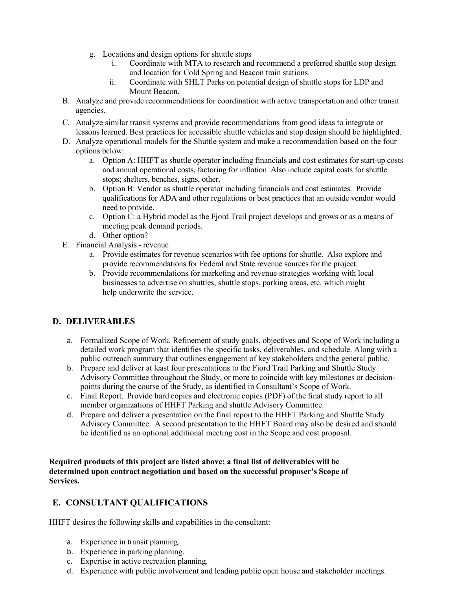- g. Locations and design options for shuttle stops
	- i. Coordinate with MTA to research and recommend a preferred shuttle stop design and location for Cold Spring and Beacon train stations.
	- ii. Coordinate with SHLT Parks on potential design of shuttle stops for LDP and Mount Beacon.
- B. Analyze and provide recommendations for coordination with active transportation and other transit agencies.
- C. Analyze similar transit systems and provide recommendations from good ideas to integrate or lessons learned. Best practices for accessible shuttle vehicles and stop design should be highlighted.
- D. Analyze operational models for the Shuttle system and make a recommendation based on the four options below:
	- a. Option A: HHFT as shuttle operator including financials and cost estimates for start-up costs and annual operational costs, factoring for inflation Also include capital costs for shuttle stops; shelters, benches, signs, other.
	- b. Option B: Vendor as shuttle operator including financials and cost estimates. Provide qualifications for ADA and other regulations or best practices that an outside vendor would need to provide.
	- c. Option C: a Hybrid model as the Fjord Trail project develops and grows or as a means of meeting peak demand periods.
	- d. Other option?
- E. Financial Analysis revenue
	- a. Provide estimates for revenue scenarios with fee options for shuttle. Also explore and provide recommendations for Federal and State revenue sources for the project.
	- b. Provide recommendations for marketing and revenue strategies working with local businesses to advertise on shuttles, shuttle stops, parking areas, etc. which might help underwrite the service.

# **D. DELIVERABLES**

- a. Formalized Scope of Work. Refinement of study goals, objectives and Scope of Work including a detailed work program that identifies the specific tasks, deliverables, and schedule. Along with a public outreach summary that outlines engagement of key stakeholders and the general public.
- b. Prepare and deliver at least four presentations to the Fjord Trail Parking and Shuttle Study Advisory Committee throughout the Study, or more to coincide with key milestones or decisionpoints during the course of the Study, as identified in Consultant's Scope of Work.
- c. Final Report. Provide hard copies and electronic copies (PDF) of the final study report to all member organizations of HHFT Parking and shuttle Advisory Committee.
- d. Prepare and deliver a presentation on the final report to the HHFT Parking and Shuttle Study Advisory Committee. A second presentation to the HHFT Board may also be desired and should be identified as an optional additional meeting cost in the Scope and cost proposal.

**Required products of this project are listed above; a final list of deliverables will be determined upon contract negotiation and based on the successful proposer's Scope of Services.**

# **E. CONSULTANT QUALIFICATIONS**

HHFT desires the following skills and capabilities in the consultant:

- a. Experience in transit planning.
- b. Experience in parking planning.
- c. Expertise in active recreation planning.
- d. Experience with public involvement and leading public open house and stakeholder meetings.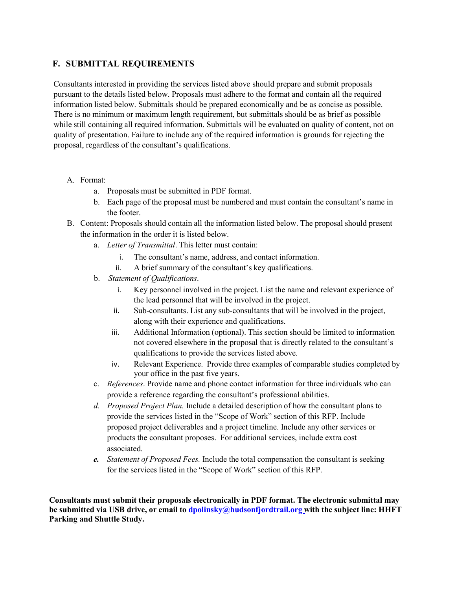### **F. SUBMITTAL REQUIREMENTS**

Consultants interested in providing the services listed above should prepare and submit proposals pursuant to the details listed below. Proposals must adhere to the format and contain all the required information listed below. Submittals should be prepared economically and be as concise as possible. There is no minimum or maximum length requirement, but submittals should be as brief as possible while still containing all required information. Submittals will be evaluated on quality of content, not on quality of presentation. Failure to include any of the required information is grounds for rejecting the proposal, regardless of the consultant's qualifications.

- A. Format:
	- a. Proposals must be submitted in PDF format.
	- b. Each page of the proposal must be numbered and must contain the consultant's name in the footer.
- B. Content: Proposals should contain all the information listed below. The proposal should present the information in the order it is listed below.
	- a. *Letter of Transmittal*. This letter must contain:
		- i. The consultant's name, address, and contact information.
		- ii. A brief summary of the consultant's key qualifications.
	- b. *Statement of Qualifications*.
		- i. Key personnel involved in the project. List the name and relevant experience of the lead personnel that will be involved in the project.
		- ii. Sub-consultants. List any sub-consultants that will be involved in the project, along with their experience and qualifications.
		- iii. Additional Information (optional). This section should be limited to information not covered elsewhere in the proposal that is directly related to the consultant's qualifications to provide the services listed above.
		- iv. Relevant Experience. Provide three examples of comparable studies completed by your office in the past five years.
	- c. *References*. Provide name and phone contact information for three individuals who can provide a reference regarding the consultant's professional abilities.
	- *d. Proposed Project Plan.* Include a detailed description of how the consultant plans to provide the services listed in the "Scope of Work" section of this RFP. Include proposed project deliverables and a project timeline. Include any other services or products the consultant proposes. For additional services, include extra cost associated.
	- *e. Statement of Proposed Fees.* Include the total compensation the consultant is seeking for the services listed in the "Scope of Work" section of this RFP.

**Consultants must submit their proposals electronically in PDF format. The electronic submittal may be submitted via USB drive, or email to [dpolinsky@hudsonfjordtrail.org](mailto:dpolinsky@hudsonfjordtrail.org) with the subject line: HHFT Parking and Shuttle Study.**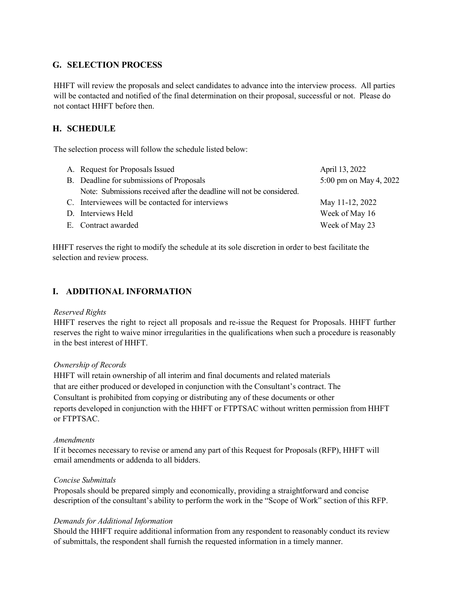### **G. SELECTION PROCESS**

HHFT will review the proposals and select candidates to advance into the interview process. All parties will be contacted and notified of the final determination on their proposal, successful or not. Please do not contact HHFT before then.

### **H. SCHEDULE**

The selection process will follow the schedule listed below:

| A. Request for Proposals Issued                                       | April 13, 2022         |
|-----------------------------------------------------------------------|------------------------|
| B. Deadline for submissions of Proposals                              | 5:00 pm on May 4, 2022 |
| Note: Submissions received after the deadline will not be considered. |                        |
| C. Interviewees will be contacted for interviews                      | May 11-12, 2022        |
| D. Interviews Held                                                    | Week of May 16         |
| E. Contract awarded                                                   | Week of May 23         |

HHFT reserves the right to modify the schedule at its sole discretion in order to best facilitate the selection and review process.

### **I. ADDITIONAL INFORMATION**

#### *Reserved Rights*

HHFT reserves the right to reject all proposals and re-issue the Request for Proposals. HHFT further reserves the right to waive minor irregularities in the qualifications when such a procedure is reasonably in the best interest of HHFT.

### *Ownership of Records*

HHFT will retain ownership of all interim and final documents and related materials that are either produced or developed in conjunction with the Consultant's contract. The Consultant is prohibited from copying or distributing any of these documents or other reports developed in conjunction with the HHFT or FTPTSAC without written permission from HHFT or FTPTSAC.

#### *Amendments*

If it becomes necessary to revise or amend any part of this Request for Proposals (RFP), HHFT will email amendments or addenda to all bidders.

### *Concise Submittals*

Proposals should be prepared simply and economically, providing a straightforward and concise description of the consultant's ability to perform the work in the "Scope of Work" section of this RFP.

### *Demands for Additional Information*

Should the HHFT require additional information from any respondent to reasonably conduct its review of submittals, the respondent shall furnish the requested information in a timely manner.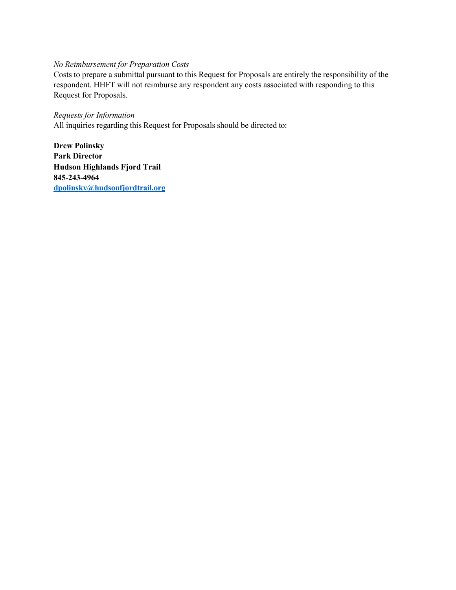# *No Reimbursement for Preparation Costs*

Costs to prepare a submittal pursuant to this Request for Proposals are entirely the responsibility of the respondent. HHFT will not reimburse any respondent any costs associated with responding to this Request for Proposals.

### *Requests for Information*

All inquiries regarding this Request for Proposals should be directed to:

**Drew Polinsky Park Director Hudson Highlands Fjord Trail 845-243-4964 [dpolinsky@hudsonfjordtrail.org](mailto:tdansie@springdaletown.com)**